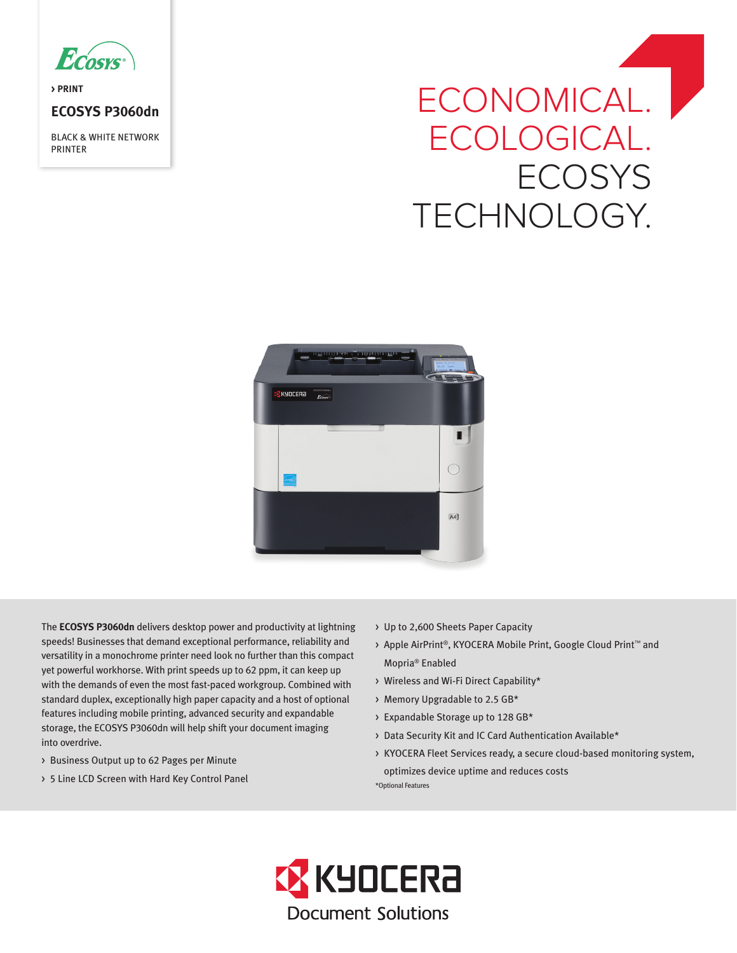

**> PRINT**

## **ECOSYS P3060dn**

BLACK & WHITE NETWORK PRINTER

# ECONOMICAL. ECOLOGICAL. **ECOSYS** TECHNOLOGY.



The **ECOSYS P3060dn** delivers desktop power and productivity at lightning speeds! Businesses that demand exceptional performance, reliability and versatility in a monochrome printer need look no further than this compact yet powerful workhorse. With print speeds up to 62 ppm, it can keep up with the demands of even the most fast-paced workgroup. Combined with standard duplex, exceptionally high paper capacity and a host of optional features including mobile printing, advanced security and expandable storage, the ECOSYS P3060dn will help shift your document imaging into overdrive.

- > Business Output up to 62 Pages per Minute
- > 5 Line LCD Screen with Hard Key Control Panel
- > Up to 2,600 Sheets Paper Capacity
- > Apple AirPrint®, KYOCERA Mobile Print, Google Cloud Print™ and Mopria® Enabled
- > Wireless and Wi-Fi Direct Capability\*
- > Memory Upgradable to 2.5 GB\*
- > Expandable Storage up to 128 GB\*
- > Data Security Kit and IC Card Authentication Available\*
- > KYOCERA Fleet Services ready, a secure cloud-based monitoring system, optimizes device uptime and reduces costs \*Optional Features